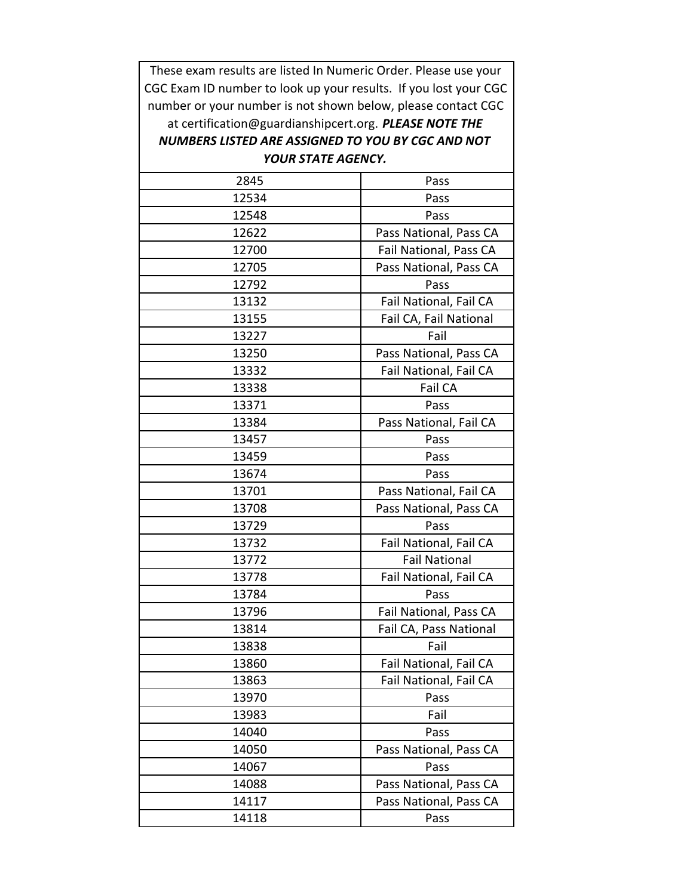These exam results are listed In Numeric Order. Please use your CGC Exam ID number to look up your results. If you lost your CGC number or your number is not shown below, please contact CGC at certification@guardianshipcert.org. *PLEASE NOTE THE NUMBERS LISTED ARE ASSIGNED TO YOU BY CGC AND NOT* 

## *YOUR STATE AGENCY.*

| 2845  | Pass                   |
|-------|------------------------|
| 12534 | Pass                   |
| 12548 | Pass                   |
| 12622 | Pass National, Pass CA |
| 12700 | Fail National, Pass CA |
| 12705 | Pass National, Pass CA |
| 12792 | Pass                   |
| 13132 | Fail National, Fail CA |
| 13155 | Fail CA, Fail National |
| 13227 | Fail                   |
| 13250 | Pass National, Pass CA |
| 13332 | Fail National, Fail CA |
| 13338 | Fail CA                |
| 13371 | Pass                   |
| 13384 | Pass National, Fail CA |
| 13457 | Pass                   |
| 13459 | Pass                   |
| 13674 | Pass                   |
| 13701 | Pass National, Fail CA |
| 13708 | Pass National, Pass CA |
| 13729 | Pass                   |
| 13732 | Fail National, Fail CA |
| 13772 | <b>Fail National</b>   |
| 13778 | Fail National, Fail CA |
| 13784 | Pass                   |
| 13796 | Fail National, Pass CA |
| 13814 | Fail CA, Pass National |
| 13838 | Fail                   |
| 13860 | Fail National, Fail CA |
| 13863 | Fail National, Fail CA |
| 13970 | Pass                   |
| 13983 | Fail                   |
| 14040 | Pass                   |
| 14050 | Pass National, Pass CA |
| 14067 | Pass                   |
| 14088 | Pass National, Pass CA |
| 14117 | Pass National, Pass CA |
| 14118 | Pass                   |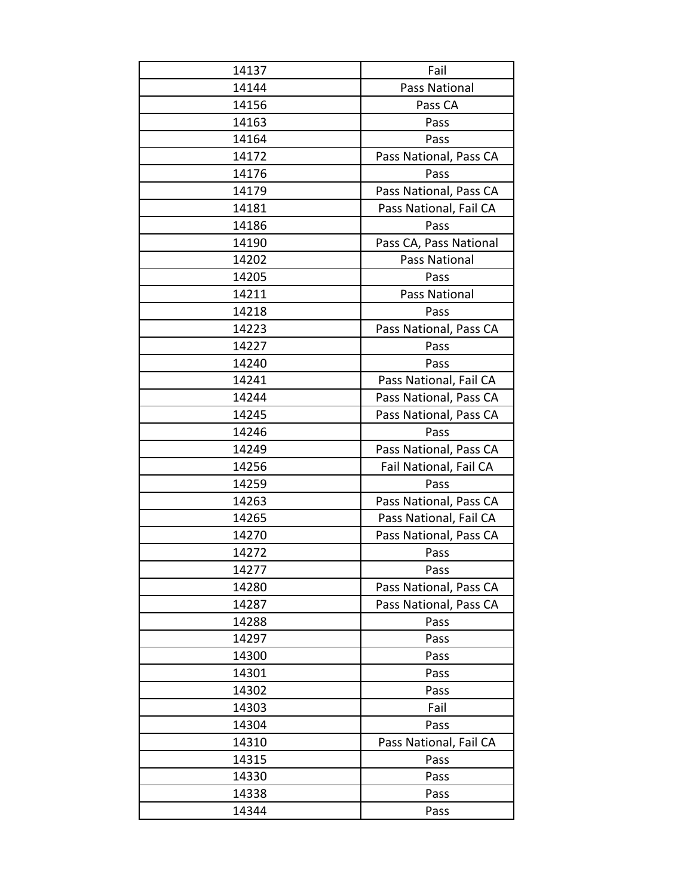| 14137 | Fail                   |
|-------|------------------------|
| 14144 | Pass National          |
| 14156 | Pass CA                |
| 14163 | Pass                   |
| 14164 | Pass                   |
| 14172 | Pass National, Pass CA |
| 14176 | Pass                   |
| 14179 | Pass National, Pass CA |
| 14181 | Pass National, Fail CA |
| 14186 | Pass                   |
| 14190 | Pass CA, Pass National |
| 14202 | Pass National          |
| 14205 | Pass                   |
| 14211 | <b>Pass National</b>   |
| 14218 | Pass                   |
| 14223 | Pass National, Pass CA |
| 14227 | Pass                   |
| 14240 | Pass                   |
| 14241 | Pass National, Fail CA |
| 14244 | Pass National, Pass CA |
| 14245 | Pass National, Pass CA |
| 14246 | Pass                   |
| 14249 | Pass National, Pass CA |
| 14256 | Fail National, Fail CA |
| 14259 | Pass                   |
| 14263 | Pass National, Pass CA |
| 14265 | Pass National, Fail CA |
| 14270 | Pass National, Pass CA |
| 14272 | Pass                   |
| 14277 | Pass                   |
| 14280 | Pass National, Pass CA |
| 14287 | Pass National, Pass CA |
| 14288 | Pass                   |
| 14297 | Pass                   |
| 14300 | Pass                   |
| 14301 | Pass                   |
| 14302 | Pass                   |
| 14303 | Fail                   |
| 14304 | Pass                   |
| 14310 | Pass National, Fail CA |
| 14315 | Pass                   |
| 14330 | Pass                   |
| 14338 | Pass                   |
| 14344 | Pass                   |